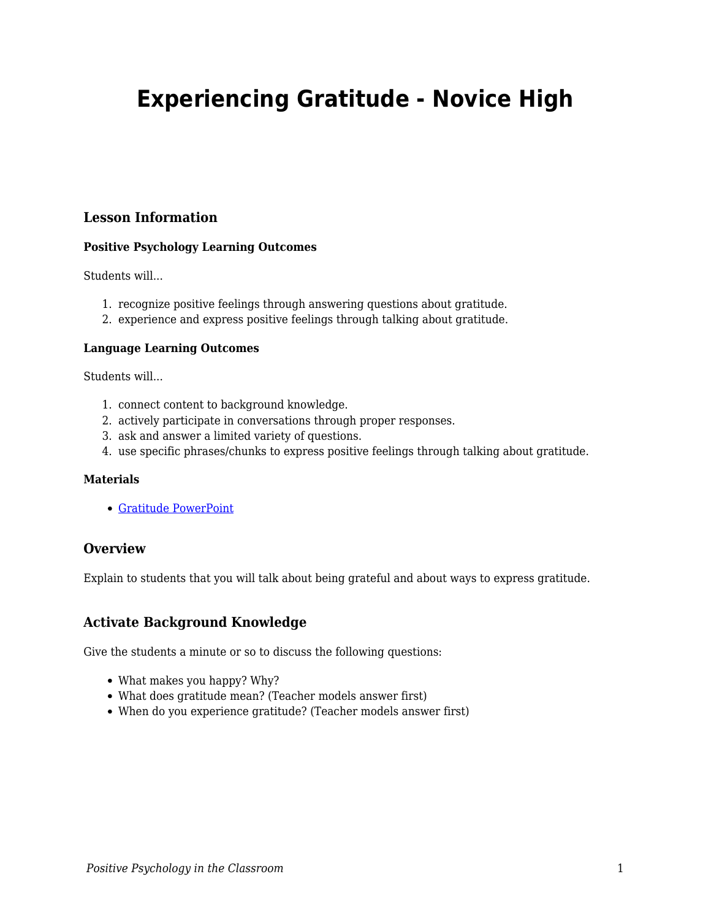# **Experiencing Gratitude - Novice High**

## **Lesson Information**

## **Positive Psychology Learning Outcomes**

Students will...

- 1. recognize positive feelings through answering questions about gratitude.
- 2. experience and express positive feelings through talking about gratitude.

#### **Language Learning Outcomes**

Students will...

- 1. connect content to background knowledge.
- 2. actively participate in conversations through proper responses.
- 3. ask and answer a limited variety of questions.
- 4. use specific phrases/chunks to express positive feelings through talking about gratitude.

#### **Materials**

[Gratitude PowerPoint](https://drive.google.com/file/d/1Sx2KcaWS2WWKXAX3UleJOF9YKg2FrByI/view?usp=sharing)

## **Overview**

Explain to students that you will talk about being grateful and about ways to express gratitude.

## **Activate Background Knowledge**

Give the students a minute or so to discuss the following questions:

- What makes you happy? Why?
- What does gratitude mean? (Teacher models answer first)
- When do you experience gratitude? (Teacher models answer first)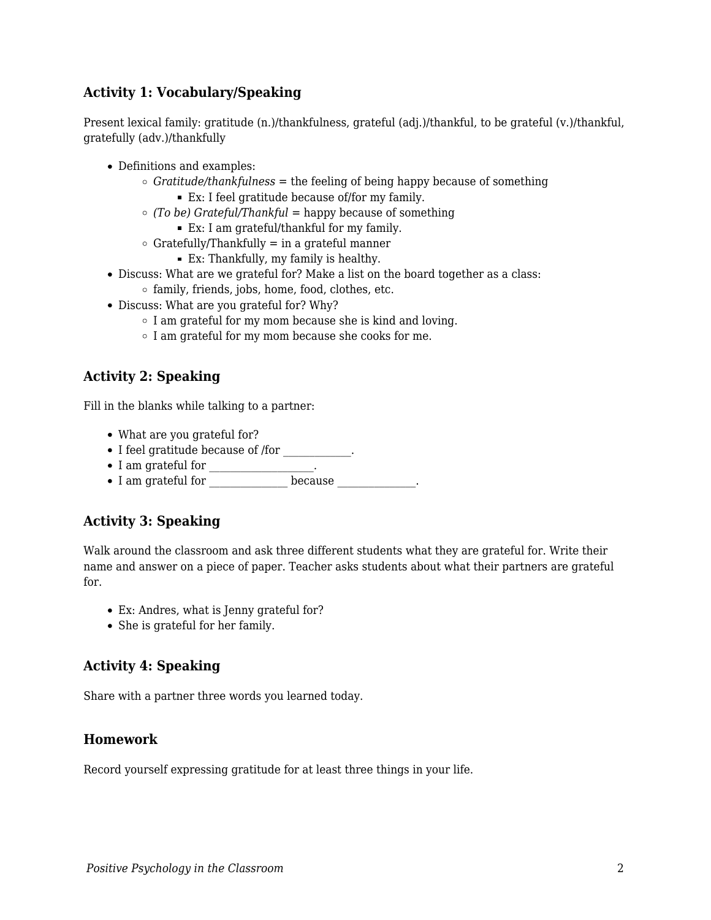## **Activity 1: Vocabulary/Speaking**

Present lexical family: gratitude (n.)/thankfulness, grateful (adj.)/thankful, to be grateful (v.)/thankful, gratefully (adv.)/thankfully

- Definitions and examples:
	- $\circ$  *Gratitude/thankfulness* = the feeling of being happy because of something
		- Ex: I feel gratitude because of/for my family.
	- *(To be) Grateful/Thankful* = happy because of something
		- Ex: I am grateful/thankful for my family.
	- $\circ$  Gratefully/Thankfully = in a grateful manner
		- Ex: Thankfully, my family is healthy.
- Discuss: What are we grateful for? Make a list on the board together as a class:
	- $\circ$  family, friends, jobs, home, food, clothes, etc.
- Discuss: What are you grateful for? Why?
	- I am grateful for my mom because she is kind and loving.
	- $\circ$  I am grateful for my mom because she cooks for me.

# **Activity 2: Speaking**

Fill in the blanks while talking to a partner:

- What are you grateful for?
- $\bullet$  I feel gratitude because of /for \_\_\_\_\_\_\_\_\_\_.
- $\bullet$  I am grateful for \_\_\_\_\_\_\_\_\_\_\_\_\_\_.
- I am grateful for because the basic section of  $\sim$  1 am grateful for

# **Activity 3: Speaking**

Walk around the classroom and ask three different students what they are grateful for. Write their name and answer on a piece of paper. Teacher asks students about what their partners are grateful for.

- Ex: Andres, what is Jenny grateful for?
- She is grateful for her family.

# **Activity 4: Speaking**

Share with a partner three words you learned today.

## **Homework**

Record yourself expressing gratitude for at least three things in your life.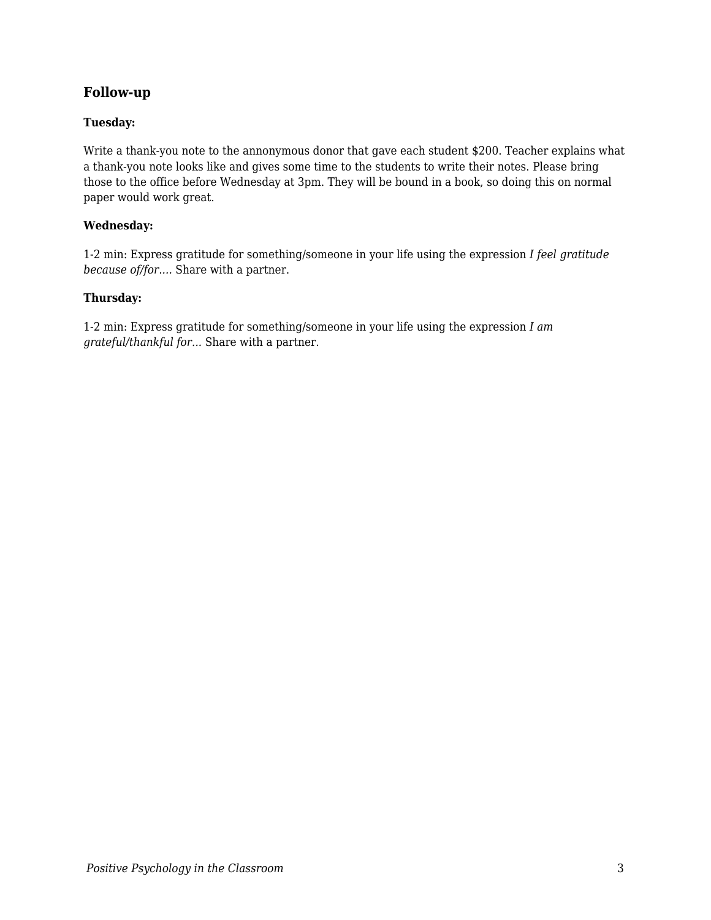## **Follow-up**

### **Tuesday:**

Write a thank-you note to the annonymous donor that gave each student \$200. Teacher explains what a thank-you note looks like and gives some time to the students to write their notes. Please bring those to the office before Wednesday at 3pm. They will be bound in a book, so doing this on normal paper would work great.

#### **Wednesday:**

1-2 min: Express gratitude for something/someone in your life using the expression *I feel gratitude because of/for....* Share with a partner.

#### **Thursday:**

1-2 min: Express gratitude for something/someone in your life using the expression *I am grateful/thankful for...* Share with a partner.